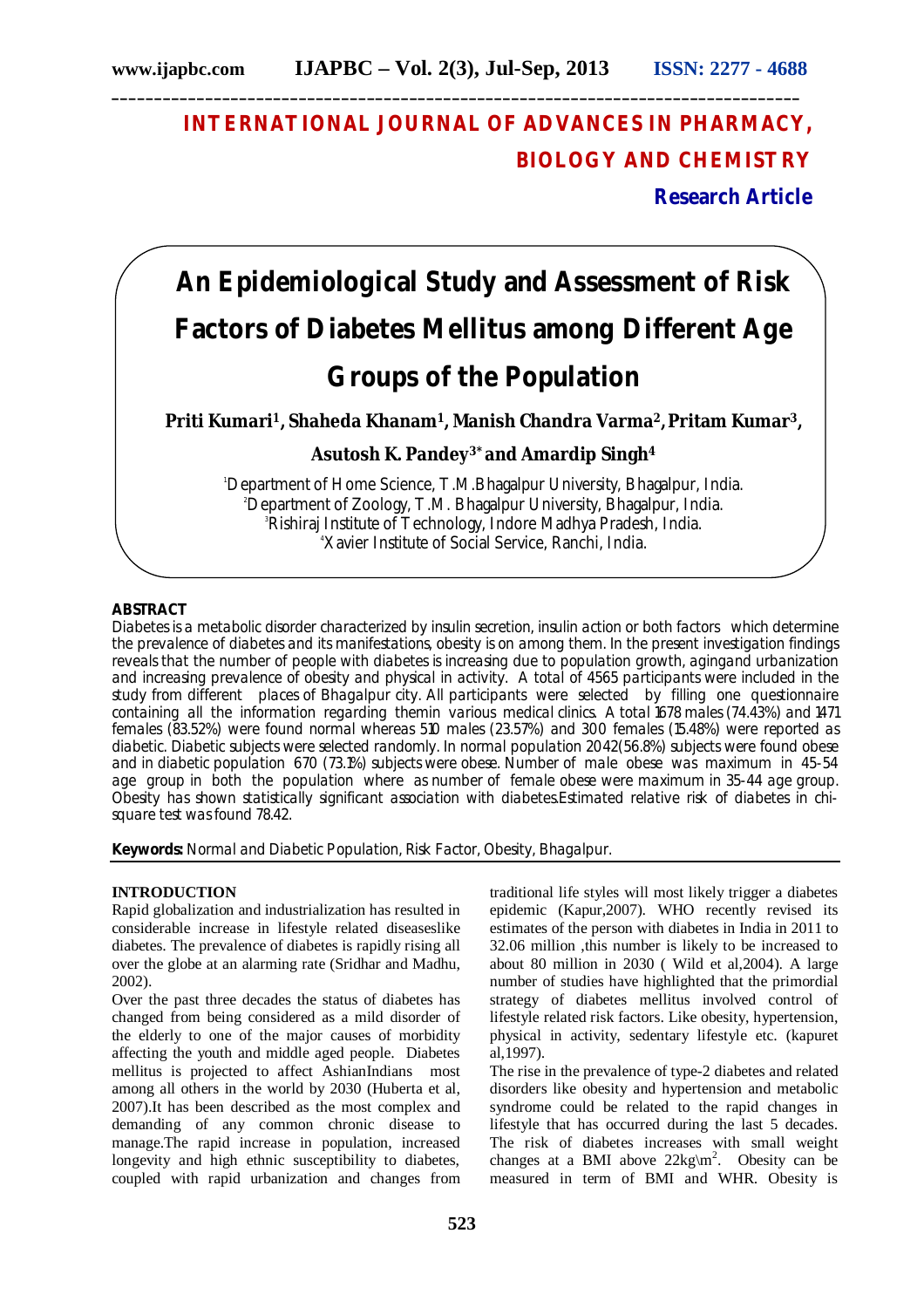# **INTERNATIONAL JOURNAL OF ADVANCES IN PHARMACY, BIOLOGY AND CHEMISTRY**

**Research Article**

# **An Epidemiological Study and Assessment of Risk Factors of Diabetes Mellitus among Different Age Groups of the Population**

**Priti Kumari1, Shaheda Khanam1, Manish Chandra Varma2,Pritam Kumar3,** 

**Asutosh K. Pandey3\* and Amardip Singh<sup>4</sup>**

<sup>1</sup>Department of Home Science, T.M.Bhagalpur University, Bhagalpur, India. <sup>2</sup>Department of Zoology, T.M. Bhagalpur University, Bhagalpur, India. <sup>3</sup>Rishiraj Institute of Technology, Indore Madhya Pradesh, India. 4Xavier Institute of Social Service, Ranchi, India.

# **ABSTRACT**

Diabetes is a metabolic disorder characterized by insulin secretion, insulin action or both factors which determine the prevalence of diabetes and its manifestations, obesity is on among them. In the present investigation findings reveals that the number of people with diabetes is increasing due to population growth, agingand urbanization and increasing prevalence of obesity and physical in activity. A total of 4565 participants were included in the study from different places of Bhagalpur city. All participants were selected by filling one questionnaire containing all the information regarding themin various medical clinics. A total 1678 males (74.43%) and 1471 females (83.52%) were found normal whereas 510 males (23.57%) and 300 females (15.48%) were reported as diabetic. Diabetic subjects were selected randomly. In normal population 2042(56.8%) subjects were found obese and in diabetic population 670 (73.1%) subjects were obese. Number of male obese was maximum in 45-54 age group in both the population where as number of female obese were maximum in 35-44 age group. Obesity has shown statistically significant association with diabetes.Estimated relative risk of diabetes in chisquare test was found 78.42.

**Keywords:** Normal and Diabetic Population, Risk Factor, Obesity, Bhagalpur.

# **INTRODUCTION**

Rapid globalization and industrialization has resulted in considerable increase in lifestyle related diseaseslike diabetes. The prevalence of diabetes is rapidly rising all over the globe at an alarming rate (Sridhar and Madhu, 2002).

Over the past three decades the status of diabetes has changed from being considered as a mild disorder of the elderly to one of the major causes of morbidity affecting the youth and middle aged people. Diabetes mellitus is projected to affect AshianIndians most among all others in the world by 2030 (Huberta et al, 2007).It has been described as the most complex and demanding of any common chronic disease to manage.The rapid increase in population, increased longevity and high ethnic susceptibility to diabetes, coupled with rapid urbanization and changes from

traditional life styles will most likely trigger a diabetes epidemic (Kapur,2007). WHO recently revised its estimates of the person with diabetes in India in 2011 to 32.06 million ,this number is likely to be increased to about 80 million in 2030 ( Wild et al,2004). A large number of studies have highlighted that the primordial strategy of diabetes mellitus involved control of lifestyle related risk factors. Like obesity, hypertension, physical in activity, sedentary lifestyle etc. (kapuret al,1997).

The rise in the prevalence of type-2 diabetes and related disorders like obesity and hypertension and metabolic syndrome could be related to the rapid changes in lifestyle that has occurred during the last 5 decades. The risk of diabetes increases with small weight changes at a BMI above  $22\text{kg}\text{m}^2$ . Obesity can be measured in term of BMI and WHR. Obesity is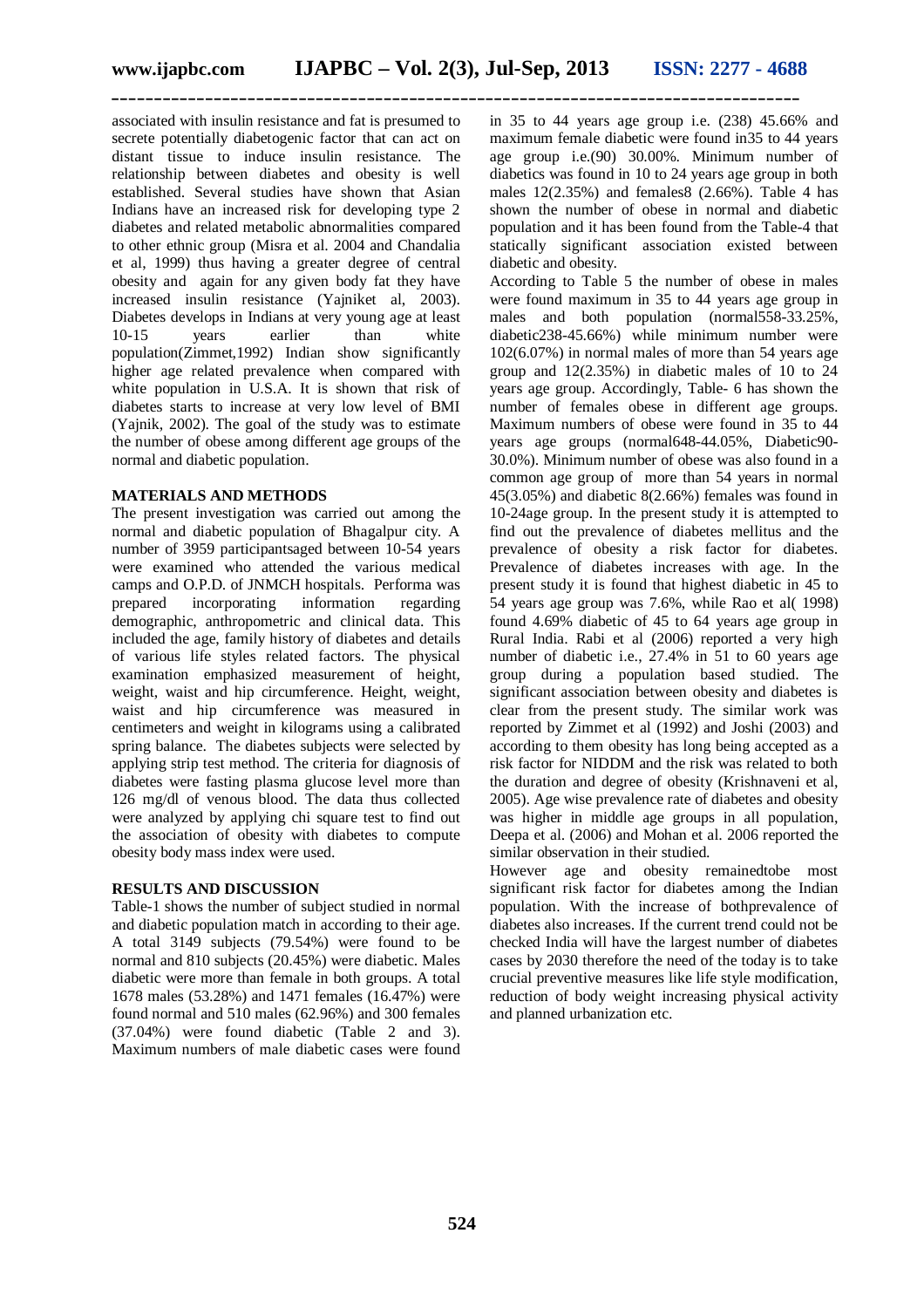associated with insulin resistance and fat is presumed to secrete potentially diabetogenic factor that can act on distant tissue to induce insulin resistance. The relationship between diabetes and obesity is well established. Several studies have shown that Asian Indians have an increased risk for developing type 2 diabetes and related metabolic abnormalities compared to other ethnic group (Misra et al. 2004 and Chandalia et al, 1999) thus having a greater degree of central obesity and again for any given body fat they have increased insulin resistance (Yajniket al, 2003). Diabetes develops in Indians at very young age at least 10-15 years earlier than white population(Zimmet,1992) Indian show significantly higher age related prevalence when compared with white population in U.S.A. It is shown that risk of diabetes starts to increase at very low level of BMI (Yajnik, 2002). The goal of the study was to estimate the number of obese among different age groups of the normal and diabetic population.

## **MATERIALS AND METHODS**

The present investigation was carried out among the normal and diabetic population of Bhagalpur city. A number of 3959 participantsaged between 10-54 years were examined who attended the various medical camps and O.P.D. of JNMCH hospitals. Performa was<br>prepared incorporating information regarding incorporating demographic, anthropometric and clinical data. This included the age, family history of diabetes and details of various life styles related factors. The physical examination emphasized measurement of height, weight, waist and hip circumference. Height, weight, waist and hip circumference was measured in centimeters and weight in kilograms using a calibrated spring balance. The diabetes subjects were selected by applying strip test method. The criteria for diagnosis of diabetes were fasting plasma glucose level more than 126 mg/dl of venous blood. The data thus collected were analyzed by applying chi square test to find out the association of obesity with diabetes to compute obesity body mass index were used.

#### **RESULTS AND DISCUSSION**

Table-1 shows the number of subject studied in normal and diabetic population match in according to their age. A total 3149 subjects (79.54%) were found to be normal and 810 subjects (20.45%) were diabetic. Males diabetic were more than female in both groups. A total 1678 males (53.28%) and 1471 females (16.47%) were found normal and 510 males (62.96%) and 300 females (37.04%) were found diabetic (Table 2 and 3). Maximum numbers of male diabetic cases were found

in 35 to 44 years age group i.e. (238) 45.66% and maximum female diabetic were found in35 to 44 years age group i.e.(90) 30.00%. Minimum number of diabetics was found in 10 to 24 years age group in both males  $12(2.35%)$  and females  $(2.66%)$ . Table 4 has shown the number of obese in normal and diabetic population and it has been found from the Table-4 that statically significant association existed between diabetic and obesity.

According to Table 5 the number of obese in males were found maximum in 35 to 44 years age group in males and both population (normal558-33.25%, diabetic238-45.66%) while minimum number were 102(6.07%) in normal males of more than 54 years age group and 12(2.35%) in diabetic males of 10 to 24 years age group. Accordingly, Table- 6 has shown the number of females obese in different age groups. Maximum numbers of obese were found in 35 to 44 years age groups (normal648-44.05%, Diabetic90- 30.0%). Minimum number of obese was also found in a common age group of more than 54 years in normal 45(3.05%) and diabetic 8(2.66%) females was found in 10-24age group. In the present study it is attempted to find out the prevalence of diabetes mellitus and the prevalence of obesity a risk factor for diabetes. Prevalence of diabetes increases with age. In the present study it is found that highest diabetic in 45 to 54 years age group was 7.6%, while Rao et al( 1998) found 4.69% diabetic of 45 to 64 years age group in Rural India. Rabi et al (2006) reported a very high number of diabetic i.e., 27.4% in 51 to 60 years age group during a population based studied. The significant association between obesity and diabetes is clear from the present study. The similar work was reported by Zimmet et al (1992) and Joshi (2003) and according to them obesity has long being accepted as a risk factor for NIDDM and the risk was related to both the duration and degree of obesity (Krishnaveni et al, 2005). Age wise prevalence rate of diabetes and obesity was higher in middle age groups in all population, Deepa et al. (2006) and Mohan et al. 2006 reported the similar observation in their studied.

However age and obesity remainedtobe most significant risk factor for diabetes among the Indian population. With the increase of bothprevalence of diabetes also increases. If the current trend could not be checked India will have the largest number of diabetes cases by 2030 therefore the need of the today is to take crucial preventive measures like life style modification, reduction of body weight increasing physical activity and planned urbanization etc.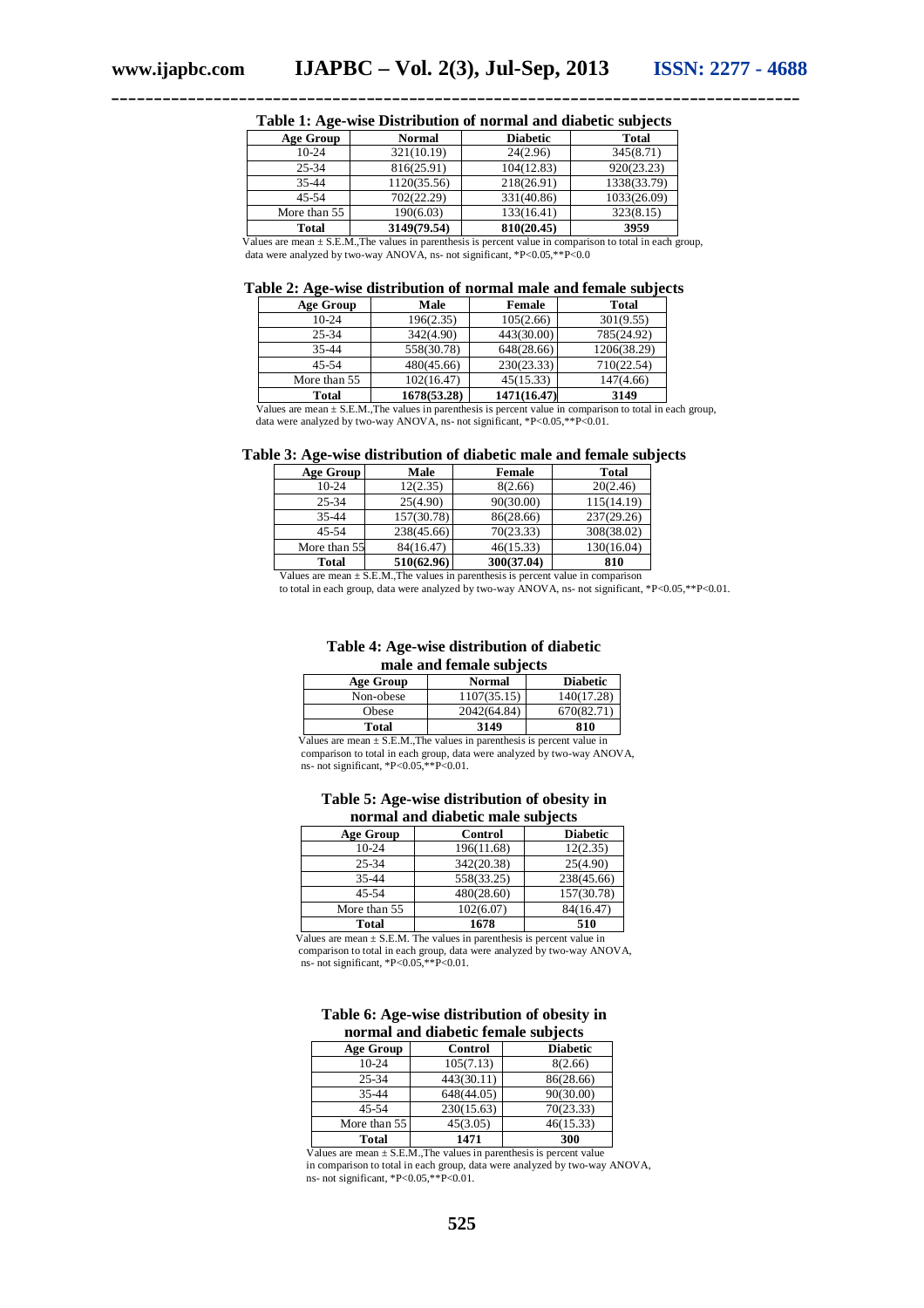| Age Group    | <b>Normal</b> | <b>Diabetic</b> | <b>Total</b> |
|--------------|---------------|-----------------|--------------|
| $10-24$      | 321(10.19)    | 24(2.96)        | 345(8.71)    |
| $25 - 34$    | 816(25.91)    | 104(12.83)      | 920(23.23)   |
| $35 - 44$    | 1120(35.56)   | 218(26.91)      | 1338(33.79)  |
| $45 - 54$    | 702(22.29)    | 331(40.86)      | 1033(26.09)  |
| More than 55 | 190(6.03)     | 133(16.41)      | 323(8.15)    |
| <b>Total</b> | 3149(79.54)   | 810(20.45)      | 3959         |

**Table 1: Age-wise Distribution of normal and diabetic subjects**

 Values are mean ± S.E.M.,The values in parenthesis is percent value in comparison to total in each group, data were analyzed by two-way ANOVA, ns- not significant, \*P<0.05,\*\*P<0.0

**Table 2: Age-wise distribution of normal male and female subjects**

| <b>Age Group</b> | Male        | <b>Female</b> | <b>Total</b> |
|------------------|-------------|---------------|--------------|
| $10-24$          | 196(2.35)   | 105(2.66)     | 301(9.55)    |
| 25-34            | 342(4.90)   | 443(30.00)    | 785(24.92)   |
| 35-44            | 558(30.78)  | 648(28.66)    | 1206(38.29)  |
| $45 - 54$        | 480(45.66)  | 230(23.33)    | 710(22.54)   |
| More than 55     | 102(16.47)  | 45(15.33)     | 147(4.66)    |
| <b>Total</b>     | 1678(53.28) | 1471(16.47)   | 3149         |

 Values are mean ± S.E.M.,The values in parenthesis is percent value in comparison to total in each group, data were analyzed by two-way ANOVA, ns- not significant, \*P<0.05, \*\*P<0.01.

| Table 3: Age-wise distribution of diabetic male and female subjects |  |  |  |  |
|---------------------------------------------------------------------|--|--|--|--|
|---------------------------------------------------------------------|--|--|--|--|

| Age Group    | Male       | Female     | <b>Total</b> |
|--------------|------------|------------|--------------|
| $10-24$      | 12(2.35)   | 8(2.66)    | 20(2.46)     |
| $25 - 34$    | 25(4.90)   | 90(30.00)  | 115(14.19)   |
| 35-44        | 157(30.78) | 86(28.66)  | 237(29.26)   |
| $45 - 54$    | 238(45.66) | 70(23.33)  | 308(38.02)   |
| More than 55 | 84(16.47)  | 46(15.33)  | 130(16.04)   |
| <b>Total</b> | 510(62.96) | 300(37.04) | 810          |

Values are mean  $\pm$  S.E.M., The values in parenthesis is percent value in comparison

to total in each group, data were analyzed by two-way ANOVA, ns- not significant, \*P<0.05,\*\*P<0.01.

#### **Table 4: Age-wise distribution of diabetic male and female subjects**

| mane ama remane buwfeeld |             |                 |
|--------------------------|-------------|-----------------|
| Age Group                | Normal      | <b>Diabetic</b> |
| Non-obese                | 1107(35.15) | 140(17.28)      |
| Obese                    | 2042(64.84) | 670(82.71)      |
| Total                    | 3149        | 810             |

Values are mean  $\pm$  S.E.M., The values in parenthesis is percent value in comparison to total in each group, data were analyzed by two-way ANOVA, ns- not significant, \*P<0.05,\*\*P<0.01.

#### **Table 5: Age-wise distribution of obesity in normal and diabetic male subjects**

| <b>Age Group</b> | Control    | <b>Diabetic</b> |
|------------------|------------|-----------------|
| $10-24$          | 196(11.68) | 12(2.35)        |
| 25-34            | 342(20.38) | 25(4.90)        |
| $35 - 44$        | 558(33.25) | 238(45.66)      |
| 45-54            | 480(28.60) | 157(30.78)      |
| More than 55     | 102(6.07)  | 84(16.47)       |
| Total            | 1678       | 510             |

Values are mean  $\pm$  S.E.M. The values in parenthesis is percent value in comparison to total in each group, data were analyzed by two-way ANOVA, ns- not significant, \*P<0.05,\*\*P<0.01.

| Table 6: Age-wise distribution of obesity in |
|----------------------------------------------|
| normal and diabetic female subjects          |

| <b>Age Group</b> | Control    | <b>Diabetic</b> |
|------------------|------------|-----------------|
| $10-24$          | 105(7.13)  | 8(2.66)         |
| 25-34            | 443(30.11) | 86(28.66)       |
| 35-44            | 648(44.05) | 90(30.00)       |
| $45 - 54$        | 230(15.63) | 70(23.33)       |
| More than 55     | 45(3.05)   | 46(15.33)       |
| Total            | 1471       | 300             |

Values are mean  $\pm$  S.E.M., The values in parenthesis is percent value

 in comparison to total in each group, data were analyzed by two-way ANOVA, ns- not significant, \*P<0.05,\*\*P<0.01.